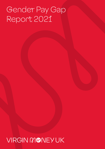# Gender Pay Gap Report 2021

## VIRGIN MONEYUK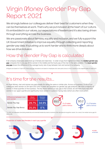## Virgin Money Gender Pay Gap Report 2021

We strongly believe our colleagues deliver their best for customers when they can be themselves at work. That's why we put inclusion at the heart of our culture. It's embedded in our values, our expectations of leaders and it's also being driven through everything across the business.

We are passionate about fairness, equality and inclusion, and we fully support the UK Government initiative to improve equality through collecting and reporting gender pay data. It's pushing us to work harder and to think more deeply about how we drive inclusion.

## How the Gender Pay Gap is calculated

If all company employees were lined up in female and male lines - in order of pay from highest to lowest, the **median gender pay gap** compares the hourly pay of the woman in the middle and the hourly pay of the man in the same position. The **mean gender pay gap** shows the difference in the average hourly rate of pay between men and women in a company.

All figures are based on 5 April 2021. Bonus pay gap calculations are based on employees who were paid a bonus in the 12 months to the snapshot date of 5 April 2021.

### It's time for the results...

At Virgin Money, men and women are paid equally for doing the same or similar jobs. Across our business, 57.4% of our colleagues were women on 5th April 2021 (this is when we complete our gender pay gap analysis). We have a majority of women in three quartiles of the business. The key factor behind our pay gap is that overall, we still have more men than women in our upper quartile and significantly more women in customer facing roles (which are often more junior).

| Difference between men<br>and women | Mean<br>(average) | <b>Median</b><br>(middle) |      |                            |  |
|-------------------------------------|-------------------|---------------------------|------|----------------------------|--|
| Gender Pay Gap                      | 29.7%             | 34.9%                     | 89.5 | % of males<br>paid a bonus |  |
| Gender Pay Gap Bonus                | 25.3%             | $0^{\ast}\%$              |      |                            |  |

\* In 2020, all colleagues (excluding leadership and extended leadership teams) received a flat-rate special recognition award. As a result, the median bonus gap for 2021 is 0%.

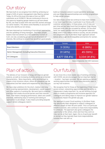### Our story

We have built on our progress from 2020 by achieving our target of 40% of senior management roles filled by women. Today, it's 41% at this level (the data is from our WIFC submission as at 31/08/21). We are continuing to focus on this space by targeting gender balance as we look ahead. By this, we mean at least 45% men and 45% women amongst our senior leaders. This allows some flexibility to account for those who identify as non-binary.

We have improved our monitoring of recruitment approaches and the upskilling of hiring managers. This helps people leaders treat recruitment as a real leadership moment of truth, not only considering gender but all dimensions of diversity. We continue to extend how we attract good people,

build our inclusive culture in a post-pandemic landscape and use things like apprenticeships and returner programmes to help certain groups.

Our data shows us that we continue to have more women in our lower quartile roles, in particular in our Stores and customer service teams. In these areas, a lot of roles are part-time and we have found that throughout Virgin Money, most part-time roles are occupied by women. On the other hand, our upper quartile roles are more gender balanced. While some of this reflects trends in society, we are certainly not complacent. Our 'A Life More Virgin' approach (shown below) aims to get rid of inequalities and barriers for women.

|                                                   | Female        | Male          |
|---------------------------------------------------|---------------|---------------|
| <b>Board Members</b>                              | 3(33%)        | 6(66%)        |
| Senior Management (including Executive Directors) | 31(41%)       | 45 (59%)      |
| All Colleagues                                    | 4,677 (58.4%) | 3,334 (41.6%) |
|                                                   |               |               |

7

Based on September 2021 WIFC Submission

## Plan of action Our future

The delivery of our inclusion strategy will improve gender balance, as well as increasing diversity across all protected characteristics. More importantly, we're working hard to create a truly inclusive culture, where all colleagues can be themselves and feel valued and respected for who they are.

We have clear ambitions for the short, medium and longterm, covering representation, development, career support and other aspects of working life. We work hard to examine practices that create structural barriers and then remove them. That means changing performance, talent and career practices, addressing ways of working and looking at approaches to job design. It also means providing bespoke support where colleagues need it.

As we move into a more stable way of working and living with COVID, we are encouraged that an important barrier – location - has been removed. We are opening up remote working opportunities that would have previously been in our key hub locations.

We recognise that for those at the beginning of their career, social contact, networking opportunities and the ability to collaborate is really important. So, we are working through plans to create a progressive and inclusive approach for colleagues and taking steps to improve our gender balance to positively impact the gender pay gap.

Our approach to post-Covid working, A Life More Virgin, has specifically been designed to support colleagues at different stages of their life and career. This is of particular benefit to women, who continue to have more responsibility for childcare. The approach also gives colleagues the opportunity to flex where, when and how they work so they can be at their best. Again, this is of particular benefit to women as they typically have more responsibilities outside their role with us.

7

71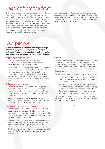## Leading from the front

Being inclusive is at the heart of our leadership expectations. We're currently upskilling all 1200 people leaders in the context of new ways of working. These emphasise the need for people leaders to work flexibly with colleagues to set up their ideal working situation while continuing to meet customer needs. The expectations show the need for safety, trust and empathy and leadership reviews have been built into performance management and development. In the coming year, we will invest in the things people leaders need to perform in line with these expectations.

We are also supporting diverse talent at more senior levels to progress their careers within Virgin Money. This programme includes exposure to brilliant external leadership, internal career development and the opportunities to network and work with the senior leaders in the business.

## Our people

**We have continued to listen to our colleagues through feedback, engagement surveys and our colleague networks. This means we are acting on colleague insight and we can tailor our support to their needs, including:**

#### Supporting colleague careers

- Based on colleague feedback, we have supported them with a range of workshops to help internal career development within Virgin Money.
- Working with partners, we have delivered our Springboard Programme to support female colleague development and our Career Sponsorship Programme for colleagues from ethnic minority backgrounds. We will run both of these again in 2022 and broaden our scope and scale of the Career Sponsorship Programme to support all colleague networks.

### Being there for our returners

- We continue to deliver our Welcome Back Programme to support colleagues who have been away due to parental leave or long term sickness. We have adapted these sessions to make sure they reflect our new ways of working.
- We plan to partner with Women Returners in 2022 to support female talent returning to the workplace, having previously worked with them in 2018 and 2019.

### Tackling the challenges of the menopause

- We know that for some, the menopause can be career impacting and, in some cases, limiting. So, we have partnered with Henpicked and worked with our leadership team to raise awareness of the impacts of the menopause and offer support to colleagues.
- In the autumn of 2021, we launched a menopause campaign across Virgin Money. There is new guidance designed to support colleagues and people leaders and provide a network to share experiences. This is in partnership with Henpicked, who are leading the way in this space, and we'll hugely benefit from access to their Menopause in the Workplace tools.

#### Parental leave

- We know parental leave can impact careers and our intent is to make sure we have a harmonised approach that supports colleagues taking parental leave. This will be a day one benefit and includes 20 weeks of full pay that is gender neutral and can be taken any time in the child's first two years.
- This approach is intended to create change in two ways:
	- Gender neutral benefits aim to encourage both parents to take leave, balancing responsibilities and career impact on couples.
	- From listening to colleagues, we know the delay in access to maternity rights can be a barrier to moving company (disproportionately affecting women). Day one rights give women the chance to change company with much greater confidence.
- The scale and flexibility of time also means people can plan around their life and work, rather than having to take all or nothing parental leave.

7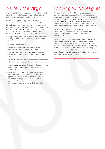A Life More Virgin is our approach to the future of work, driven by our goal of becoming a digital bank that's engaged, high performing and purpose led.

We are not adopting a simple hybrid 'three in, two out' model of work - we don't believe that one size fits all. Instead, we are disrupting our ways of working, norms and culture to create a work-life model where colleagues can live their best life. This way, we are all working in a more flexible and digital way and are happier and healthier. This approach brings several benefits, including:

- Giving colleagues a good balance of work locations so they have freedom in terms of where and when to work.
- A more diverse workforce.
- A larger talent pool as we no longer have to hire colleagues in specific geographic locations.
- Allowing colleagues to flex their work around their personal commitments, encouraging a good work-life balance.
- Streamlining how we work, such as focusing on specific activity like networking, collaboration and report writing.
- Supporting our sustainability strategy through reduced commuting time and helping to improve colleagues' mental health.
- In the design of A Life More Virgin, we've listened to colleagues and are aiming to create a truly inclusive approach. However, we know there will be some unintended consequences. We'll have a flexible approach and keep an eye on things to make sure we're guarding against any kind of discrimination.

7

### A Life More Virgin Knowing our colleagues

We want everyone at Virgin Money to feel welcome, supported and able to succeed. To do that, we need to properly understand our colleagues. That's why we regularly ask them to update the diversity and inclusion section on our people system. The information helps us get a better understanding of who works with us, which groups are under-represented and whether everyone's needs are met.

We've already used the data to organise specific development programmes, update our policies and procedures and identify barriers and challenges faced by colleagues.

We've recently refreshed our diversity terms to make sure they capture who we ALL are at Virgin Money. 78% of colleagues (as of the end of October 2021) have shared at least one characteristic about themselves (their ethnicity or if they are part of the LGBT+ community, for example) this has increased from 59%. We are working hard to make sure colleagues are telling us more about themselves as this means we'll be well placed to support them.

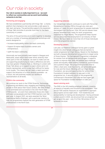### Our role in society

**Our role in society is really important to us - we want to reflect our communities and we work hard building networks to do that.**

#### Partnering and engaging

We have established a partnership with Kings Talk - a charity platform that champions men and provides a safe space to talk, learn and grow. The partnership supports the expansion of Kings Talk's activities to provide more help for the black community in London.

The aims of the partnership are to work together to develop and run a number of business and personal workshops and events designed to:

- Increase employability within the black community.
- Support & inspire black business owners and entrepreneurs.
- Uplift the black community.

Historically we have primarily been based in Glasgow and Newcastle, areas which have lower ethnic diversity than other parts of the UK. However, we want to make sure we are supporting people trying to make a difference and who may have greater influence than us. Working in London with King's Talk allows us to support a region where we're not heavily represented, and in a way that's difficult for banks to do usually. This means we can reach a talent pool and support the attraction of a more diverse candidate – as a result, this will positively impact our workforce representation at all levels.

#### STEM in the community

We continue our work in the STEM (Science, Technology, Engineering and Maths) area, engaging and inspiring young people to think about their future careers. We were thrilled to be nominated and successful in the 2021 North East STEM awards - an event that celebrates those who have enthused young people and their STEM teachers over the past year. In August 2021, we were awarded the 'Most Inspirational Maths Employer', with a particular mention to how our programmes inspired the next generation of STEM professionals in the North East.

#### Supporting veterans

Our Vets@Virgin network continues to work with Personnel Rehabilitation Centres (PRCs) through site visits and delivery of 'ready for work' programmes for people medically discharged from the forces. Over 250 service leavers have already benefited from 'ready for work' programmes supported by Virgin Money. The programme helps injured service personnel find employment in an industry of their choice. We have taken on more than 20 of those individuals since the programme started.

#### Developing careers

Last year, our Balance Colleague Survey gave us great insight into what female colleagues feel are barriers to career progression at Virgin Money. Based on the feedback, we built a bespoke development programme to target some of those themes. The Springboard Programme is designed for women from all backgrounds and all ages. It supports women to improve their skills and abilities and challenge power and equality while building confidence, assertiveness and a positive image. The programme provides time to reflect, share and, most importantly, set achievable goals for now and the future. Working with our Virgin Money Foundation, we secured opportunities for some of the Foundation's funded members to take part in the programme too. A second cohort of the programme commenced in November 2021 and we have again got space for Foundation funded members to take part.

#### Award-winning work

7

The ENEI is the UK's leading employer network, covering all aspects of equality and inclusion in the workplace. Their annual TIDE awards measures an organisation's approach and progress across eight areas - from leadership and accountability to training and development. Having achieved a silver award in 2020, we are proud that our progress has got us gold this year – only 12 of the 136 entries in 2021 achieved this level.